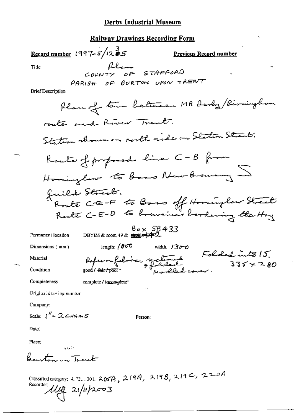## **Railway Drawings Recording Form**

Previous Record number

Record number 1997-5/12 05 Flam STAFFORD Title PARISH OF BURTON UPON TRENT **Brief Description** Plan of town between MR Derby/Birmingham roate and River Trant. Station shown on north side on Station Stract, Route of proposed line C-B from Hominglan to base New Brewery Guild Street.<br>Route CE-F to Bass off Horninglow Street  $\begin{array}{r} \mathbf{6}_{\sigma\times}\text{ S}\mathbf{8433}\\ \text{DBYIM & \text{room 49 & $\frac{\text{shock}}{2}$} \end{array}$ Permanent location length:  $/600$ Poferonfebric, rectional Folded into 15.<br>1000/<del>fortpoor</del> Pharled cover. 335 x 280 Dimensions (mm) width:  $1300$ Material Condition 200d / <del>fair / 1</del>007 Completeness complete / incomplete Original drawing number Company: Scale:  $1'' = 2$  CHAINS

Date:

Place:

b*eenton on Trant* 

Classified category: 4, 721, 301,  $205A$ ,  $219A$ ,  $219B$ ,  $219C$ ,  $220A$ Recorder ULL 21/11/2003

Person: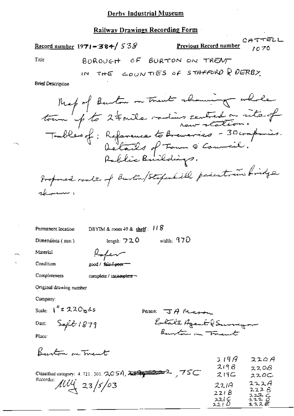| Railway Drawings Recording Form                                                                                                                                                                                                              |  |  |
|----------------------------------------------------------------------------------------------------------------------------------------------------------------------------------------------------------------------------------------------|--|--|
| CATTELL<br>Previous Record number 1070<br>Record number 1971-384/538                                                                                                                                                                         |  |  |
| BOROUGH OF BURTON ON TRENT<br>Title                                                                                                                                                                                                          |  |  |
| IN THE COUNTIES OF STAFFORD ROERBY                                                                                                                                                                                                           |  |  |
| <b>Brief Description</b>                                                                                                                                                                                                                     |  |  |
| Map of Burton on trunt channing while<br>tour p'to 24 mile radius sentred on rite of<br>Trables of : Reference to Breweries - 30 comparis.<br>Details of Town @ Council.<br>Froponed roate of Burton/Stopsulill peristrans lindge<br>rbenni, |  |  |
| DBYIM & room $49$ & shelf: $118$<br>Permanent Iocation                                                                                                                                                                                       |  |  |
| width: $970$<br>$_{\rm length:}\,72.0$<br>Dimensions (mm)                                                                                                                                                                                    |  |  |
| Material                                                                                                                                                                                                                                     |  |  |
| Condition<br>good / fair <del>/ pool</del>                                                                                                                                                                                                   |  |  |
| Completeness<br>complete / incomplete ~                                                                                                                                                                                                      |  |  |
| Original drawing number                                                                                                                                                                                                                      |  |  |
| Company:                                                                                                                                                                                                                                     |  |  |
| Scale: $1'' = 220yds$<br>Person: $\mathcal{A}$ Receiver                                                                                                                                                                                      |  |  |
| Eolate Agent & Surveyor<br>Seft1879<br>Date:<br>Burton in Frant<br>Place:                                                                                                                                                                    |  |  |
|                                                                                                                                                                                                                                              |  |  |
| Beenton an Tuent<br>1.19.9                                                                                                                                                                                                                   |  |  |

 $\ddot{\sim}$ 

| Classified category: 4, 721, 301, $QCSA$ , $\lambda = 2$ , $\lambda = 2$ , $\lambda = 2$ , $\lambda = 2$ | 11477<br>2198<br>219C                    | 220 H<br>220B<br>ススロー                    |
|----------------------------------------------------------------------------------------------------------|------------------------------------------|------------------------------------------|
| Recorder: $\mu\mu$ 23/5/03                                                                               | 22 IA<br>221B<br>$221 \subseteq$<br>221D | 222A<br>222B<br>$22 - C$<br>2220<br>スススモ |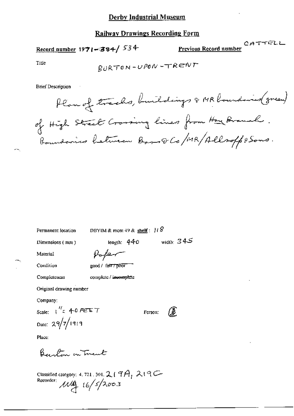# **Railway Drawings Recording Form**

Record number 1971-384/534

CATTELL Previous Record number

Title

$$
R\partial RTON - UPON - TRENTT
$$

**Brief Description** 

DBYIM & room 49 & shelf:  $118$ 

length:  $440$ 

Dimensions (mm)

Po fe

Condition

Material

good / fair / poor

Completeness

complete / incomplete

Original drawing number

Company:

Scale:  $\int_{0}^{H} z \cdot 40$  FEE T Date:  $29/7/1919$ 

Place:

Burton on Trent

Classified category: 4, 721, 301, 219A, 219G<br>Recorder:  $\mathcal{M}_{\bigoplus}$  16/5/2003

Γ₿ Person:

width:  $345$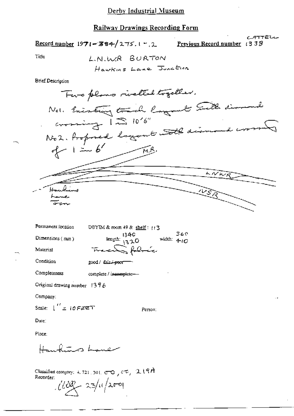#### Railway Drawings Recording Form

CATTELL Record number 1971-384/275.1-2 Preyious Record number 1338

Title

LNUVR BURTON Hawkins Lane Junction

**Brief Description** 



Permanent location DBYIM & room 49 & shelf: 113 360 1340 length:  $1320$ width:  $410$ Dimensions  $(mn)$ TraceL folmée Material Condition good/ leis+poor Completeness complete / incomplete-

Original drawing number 1376

Company:

Scale:  $\int_{-\infty}^{\infty}$  = 10 FeET

Person:

Date:

Place:

Hukto Lave

Classified category: 4, 721, 301,  $\sigma$  O ,  $c$   $\tau$ , 2 (9 $\vec{H}$ Recorder.

 $1/1/2$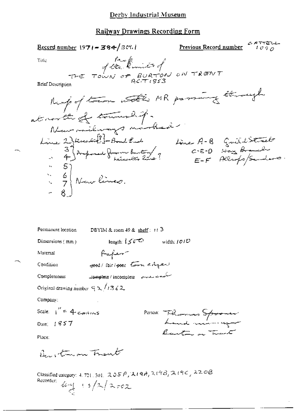# Railway Drawings Recording Form

| <u> Record number</u> 19 <b>71 – 384/</b> 389.1                                                                                                        | <u>Previous Record number</u><br>$1.0.9~\mu$                                                                                        |
|--------------------------------------------------------------------------------------------------------------------------------------------------------|-------------------------------------------------------------------------------------------------------------------------------------|
| Tirle                                                                                                                                                  |                                                                                                                                     |
| THE TOWN OF BURTON ON TRENT<br>Brief Description                                                                                                       |                                                                                                                                     |
| Rusp of town with MR passing to well                                                                                                                   |                                                                                                                                     |
| at north of township.                                                                                                                                  |                                                                                                                                     |
|                                                                                                                                                        |                                                                                                                                     |
|                                                                                                                                                        | France Et Montenants Marchael<br>Line 2) Kurstell - Boulend Line A-B Guild Street<br>- 4) Proposal france line ? C-E-D House Branch |
| $\begin{bmatrix} 5 \\ -2 \\ 2 \end{bmatrix}$ New lines.                                                                                                |                                                                                                                                     |
| Permanent location<br>DBYIM & room 49 & shelf: $11\overline{3}$                                                                                        |                                                                                                                                     |
| length: $500$<br>Dimensions (mm)                                                                                                                       | width: $1010$                                                                                                                       |
| Material<br>Hapar                                                                                                                                      |                                                                                                                                     |
| good/ fair/poor town edges<br>Condition                                                                                                                |                                                                                                                                     |
| سکیلیٹ سے سے a <del>comple</del> te / incomplete<br>Completeness                                                                                       |                                                                                                                                     |
| Original drawing number $\leq \sqrt{1362}$                                                                                                             |                                                                                                                                     |
| Company:                                                                                                                                               |                                                                                                                                     |
| Scale: $1'' = 4c_{\pi}$ Aines                                                                                                                          |                                                                                                                                     |
| Date: $1957$                                                                                                                                           | Person Theomas Spooner                                                                                                              |
| Place:                                                                                                                                                 | Barton on Tomot                                                                                                                     |
| Burton on Trant                                                                                                                                        |                                                                                                                                     |
| Classified category: 4, 721, 301, 205 $\beta$ , 219A, 219B, 219C, 220B<br>Recorder:<br>$4 - 1$ $\frac{1}{2}$ $\frac{1}{2}$ $\frac{1}{2}$ $\frac{1}{2}$ |                                                                                                                                     |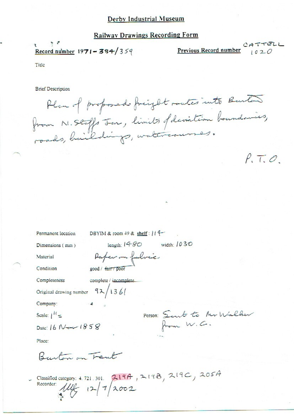## **Railway Drawings Recording Form**

Record number 1971-384/359

CATTELL Previous Record number  $1020$ 

 $P.T.O$ 

Title

**Brief Description** 

Plan of proposed freight routes into Burton from N. Staffs Jon, limits of deviation boundaries, roads, haildings, watercourses.

Permanent location

DBYIM & room 49 & shelf :  $119$ 

Rafer on folice

good / fair / poor

complete / incomplete.

 $92/1361$ 

length:  $1480$  width:  $1030$ 

Dimensions (mm)

Material

Condition

Completeness

Original drawing number

Company:

Scale:  $l^{1}$  =

Date: 16 Nov 1858

Person: Sent to Mr Walker from W.C.

Place:

Burton on Feut

Classified category: 4.721.301. 219A, 219B, 219C, 205A<br>Recorder:  $\frac{1}{4}$ <br>Recorder:  $\frac{1}{4}$